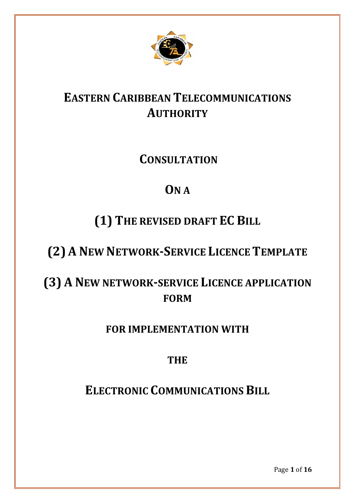

# **EASTERN CARIBBEAN TELECOMMUNICATIONS AUTHORITY**

# **CONSULTATION**

# **ON A**

# **(1) THE REVISED DRAFT EC BILL**

# **(2) A NEW NETWORK-SERVICE LICENCE TEMPLATE**

# **(3) A NEW NETWORK-SERVICE LICENCE APPLICATION FORM**

# **FOR IMPLEMENTATION WITH**

# **THE**

# **ELECTRONIC COMMUNICATIONS BILL**

Page **1** of **16**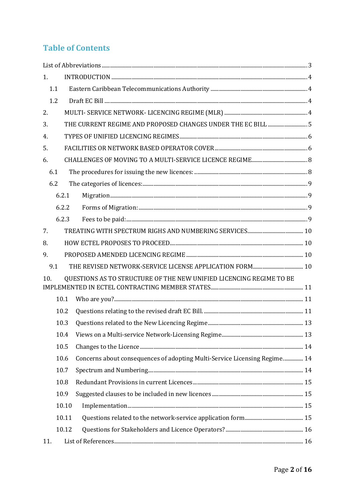# **Table of Contents**

| 1.                                                                         |                                                              |                                                                           |  |  |
|----------------------------------------------------------------------------|--------------------------------------------------------------|---------------------------------------------------------------------------|--|--|
| 1.1                                                                        |                                                              |                                                                           |  |  |
| 1.2                                                                        |                                                              |                                                                           |  |  |
| 2.                                                                         |                                                              |                                                                           |  |  |
| 3.                                                                         | THE CURRENT REGIME AND PROPOSED CHANGES UNDER THE EC BILL  5 |                                                                           |  |  |
| 4.                                                                         |                                                              |                                                                           |  |  |
| 5.                                                                         |                                                              |                                                                           |  |  |
| 6.                                                                         |                                                              |                                                                           |  |  |
| 6.1                                                                        |                                                              |                                                                           |  |  |
| 6.2                                                                        |                                                              |                                                                           |  |  |
|                                                                            | 6.2.1                                                        |                                                                           |  |  |
|                                                                            | 6.2.2                                                        |                                                                           |  |  |
|                                                                            | 6.2.3                                                        |                                                                           |  |  |
| 7.                                                                         |                                                              |                                                                           |  |  |
| 8.                                                                         |                                                              |                                                                           |  |  |
| 9.                                                                         |                                                              |                                                                           |  |  |
| 9.1                                                                        |                                                              |                                                                           |  |  |
| QUESTIONS AS TO STRUCTURE OF THE NEW UNIFIED LICENCING REGIME TO BE<br>10. |                                                              |                                                                           |  |  |
| 10.1                                                                       |                                                              |                                                                           |  |  |
|                                                                            | 10.2                                                         |                                                                           |  |  |
|                                                                            | 10.3                                                         |                                                                           |  |  |
|                                                                            | 10.4                                                         |                                                                           |  |  |
|                                                                            | 10.5                                                         |                                                                           |  |  |
|                                                                            | 10.6                                                         | Concerns about consequences of adopting Multi-Service Licensing Regime 14 |  |  |
|                                                                            | 10.7                                                         |                                                                           |  |  |
|                                                                            | 10.8                                                         |                                                                           |  |  |
|                                                                            | 10.9                                                         |                                                                           |  |  |
|                                                                            | 10.10                                                        |                                                                           |  |  |
|                                                                            | 10.11                                                        |                                                                           |  |  |
|                                                                            | 10.12                                                        |                                                                           |  |  |
| 11.                                                                        |                                                              |                                                                           |  |  |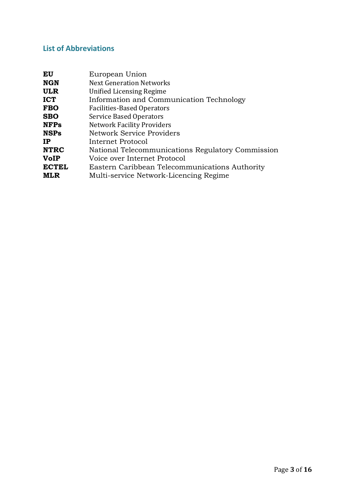# <span id="page-2-0"></span>**List of Abbreviations**

| EU           | European Union                                    |
|--------------|---------------------------------------------------|
| <b>NGN</b>   | <b>Next Generation Networks</b>                   |
| <b>ULR</b>   | <b>Unified Licensing Regime</b>                   |
| <b>ICT</b>   | Information and Communication Technology          |
| <b>FBO</b>   | <b>Facilities-Based Operators</b>                 |
| <b>SBO</b>   | <b>Service Based Operators</b>                    |
| <b>NFPs</b>  | <b>Network Facility Providers</b>                 |
| <b>NSPs</b>  | Network Service Providers                         |
| IP           | Internet Protocol                                 |
| <b>NTRC</b>  | National Telecommunications Regulatory Commission |
| <b>VoIP</b>  | Voice over Internet Protocol                      |
| <b>ECTEL</b> | Eastern Caribbean Telecommunications Authority    |
| <b>MLR</b>   | Multi-service Network-Licencing Regime            |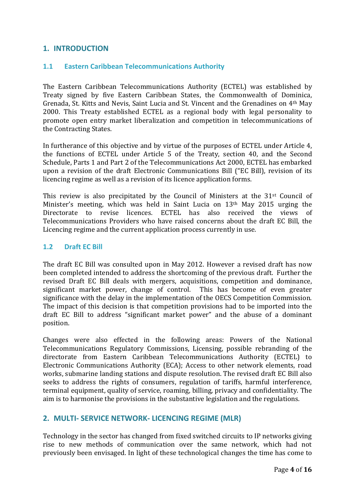## <span id="page-3-0"></span>**1. INTRODUCTION**

### <span id="page-3-1"></span>**1.1 Eastern Caribbean Telecommunications Authority**

The Eastern Caribbean Telecommunications Authority (ECTEL) was established by Treaty signed by five Eastern Caribbean States, the Commonwealth of Dominica, Grenada, St. Kitts and Nevis, Saint Lucia and St. Vincent and the Grenadines on 4th May 2000. This Treaty established ECTEL as a regional body with legal personality to promote open entry market liberalization and competition in telecommunications of the Contracting States.

In furtherance of this objective and by virtue of the purposes of ECTEL under Article 4, the functions of ECTEL under Article 5 of the Treaty, section 40, and the Second Schedule, Parts 1 and Part 2 of the Telecommunications Act 2000, ECTEL has embarked upon a revision of the draft Electronic Communications Bill ("EC Bill), revision of its licencing regime as well as a revision of its licence application forms.

This review is also precipitated by the Council of Ministers at the 31<sup>st</sup> Council of Minister's meeting, which was held in Saint Lucia on 13th May 2015 urging the Directorate to revise licences. ECTEL has also received the views of Telecommunications Providers who have raised concerns about the draft EC Bill, the Licencing regime and the current application process currently in use.

#### <span id="page-3-2"></span>**1.2 Draft EC Bill**

The draft EC Bill was consulted upon in May 2012. However a revised draft has now been completed intended to address the shortcoming of the previous draft. Further the revised Draft EC Bill deals with mergers, acquisitions, competition and dominance, significant market power, change of control. This has become of even greater significance with the delay in the implementation of the OECS Competition Commission. The impact of this decision is that competition provisions had to be imported into the draft EC Bill to address "significant market power" and the abuse of a dominant position.

Changes were also effected in the following areas: Powers of the National Telecommunications Regulatory Commissions, Licensing, possible rebranding of the directorate from Eastern Caribbean Telecommunications Authority (ECTEL) to Electronic Communications Authority (ECA); Access to other network elements, road works, submarine landing stations and dispute resolution. The revised draft EC Bill also seeks to address the rights of consumers, regulation of tariffs, harmful interference, terminal equipment, quality of service, roaming, billing, privacy and confidentiality. The aim is to harmonise the provisions in the substantive legislation and the regulations.

## <span id="page-3-3"></span>**2. MULTI- SERVICE NETWORK- LICENCING REGIME (MLR)**

Technology in the sector has changed from fixed switched circuits to IP networks giving rise to new methods of communication over the same network, which had not previously been envisaged. In light of these technological changes the time has come to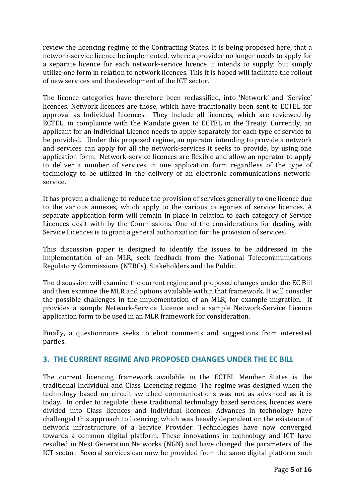review the licencing regime of the Contracting States. It is being proposed here, that a network-service licence be implemented, where a provider no longer needs to apply for a separate licence for each network-service licence it intends to supply; but simply utilize one form in relation to network licences. This it is hoped will facilitate the rollout of new services and the development of the ICT sector.

The licence categories have therefore been reclassified, into 'Network' and 'Service' licences. Network licences are those, which have traditionally been sent to ECTEL for approval as Individual Licences. They include all licences, which are reviewed by ECTEL, in compliance with the Mandate given to ECTEL in the Treaty. Currently, an applicant for an Individual Licence needs to apply separately for each type of service to be provided. Under this proposed regime, an operator intending to provide a network and services can apply for all the network-services it seeks to provide, by using one application form. Network-service licences are flexible and allow an operator to apply to deliver a number of services in one application form regardless of the type of technology to be utilized in the delivery of an electronic communications networkservice.

It has proven a challenge to reduce the provision of services generally to one licence due to the various annexes, which apply to the various categories of service licences. A separate application form will remain in place in relation to each category of Service Licences dealt with by the Commissions. One of the considerations for dealing with Service Licences is to grant a general authorization for the provision of services.

This discussion paper is designed to identify the issues to be addressed in the implementation of an MLR, seek feedback from the National Telecommunications Regulatory Commissions (NTRCs), Stakeholders and the Public.

The discussion will examine the current regime and proposed changes under the EC Bill and then examine the MLR and options available within that framework. It will consider the possible challenges in the implementation of an MLR, for example migration. It provides a sample Network-Service Licence and a sample Network-Service Licence application form to be used in an MLR framework for consideration.

Finally, a questionnaire seeks to elicit comments and suggestions from interested parties.

# <span id="page-4-0"></span>**3. THE CURRENT REGIME AND PROPOSED CHANGES UNDER THE EC BILL**

The current licencing framework available in the ECTEL Member States is the traditional Individual and Class Licencing regime. The regime was designed when the technology based on circuit switched communications was not as advanced as it is today. In order to regulate these traditional technology based services, licences were divided into Class licences and Individual licences. Advances in technology have challenged this approach to licencing, which was heavily dependent on the existence of network infrastructure of a Service Provider. Technologies have now converged towards a common digital platform. These innovations in technology and ICT have resulted in Next Generation Networks (NGN) and have changed the parameters of the ICT sector. Several services can now be provided from the same digital platform such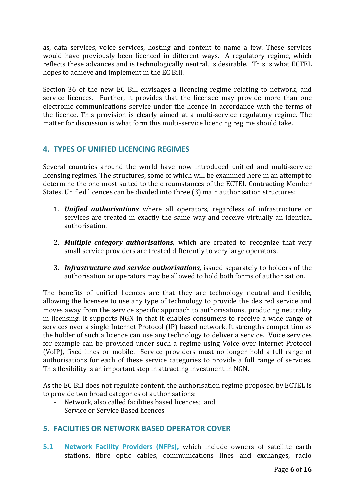as, data services, voice services, hosting and content to name a few. These services would have previously been licenced in different ways. A regulatory regime, which reflects these advances and is technologically neutral, is desirable. This is what ECTEL hopes to achieve and implement in the EC Bill.

Section 36 of the new EC Bill envisages a licencing regime relating to network, and service licences. Further, it provides that the licensee may provide more than one electronic communications service under the licence in accordance with the terms of the licence. This provision is clearly aimed at a multi-service regulatory regime. The matter for discussion is what form this multi-service licencing regime should take.

# <span id="page-5-0"></span>**4. TYPES OF UNIFIED LICENCING REGIMES**

Several countries around the world have now introduced unified and multi-service licensing regimes. The structures, some of which will be examined here in an attempt to determine the one most suited to the circumstances of the ECTEL Contracting Member States. Unified licences can be divided into three (3) main authorisation structures:

- 1. *Unified authorisations* where all operators, regardless of infrastructure or services are treated in exactly the same way and receive virtually an identical authorisation.
- 2. *Multiple category authorisations,* which are created to recognize that very small service providers are treated differently to very large operators.
- 3. *Infrastructure and service authorisations,* issued separately to holders of the authorisation or operators may be allowed to hold both forms of authorisation.

The benefits of unified licences are that they are technology neutral and flexible, allowing the licensee to use any type of technology to provide the desired service and moves away from the service specific approach to authorisations, producing neutrality in licensing. It supports NGN in that it enables consumers to receive a wide range of services over a single Internet Protocol (IP) based network. It strengths competition as the holder of such a licence can use any technology to deliver a service. Voice services for example can be provided under such a regime using Voice over Internet Protocol (VoIP), fixed lines or mobile. Service providers must no longer hold a full range of authorisations for each of these service categories to provide a full range of services. This flexibility is an important step in attracting investment in NGN.

As the EC Bill does not regulate content, the authorisation regime proposed by ECTEL is to provide two broad categories of authorisations:

- Network, also called facilities based licences; and
- Service or Service Based licences

# <span id="page-5-1"></span>**5. FACILITIES OR NETWORK BASED OPERATOR COVER**

**5.1 Network Facility Providers (NFPs),** which include owners of satellite earth stations, fibre optic cables, communications lines and exchanges, radio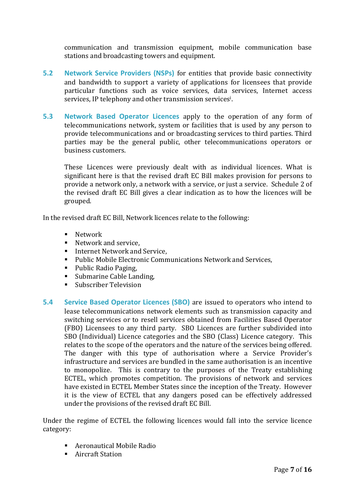communication and transmission equipment, mobile communication base stations and broadcasting towers and equipment.

- **5.2 Network Service Providers (NSPs)** for entities that provide basic connectivity and bandwidth to support a variety of applications for licensees that provide particular functions such as voice services, data services, Internet access services, IP telephony and other transmission services<sup>i</sup> .
- **5.3 Network Based Operator Licences** apply to the operation of any form of telecommunications network, system or facilities that is used by any person to provide telecommunications and or broadcasting services to third parties. Third parties may be the general public, other telecommunications operators or business customers.

These Licences were previously dealt with as individual licences. What is significant here is that the revised draft EC Bill makes provision for persons to provide a network only, a network with a service, or just a service. Schedule 2 of the revised draft EC Bill gives a clear indication as to how the licences will be grouped.

In the revised draft EC Bill, Network licences relate to the following:

- **Network**
- Network and service,
- Internet Network and Service,
- Public Mobile Electronic Communications Network and Services,
- Public Radio Paging,
- **Submarine Cable Landing,**
- Subscriber Television
- **5.4 Service Based Operator Licences (SBO)** are issued to operators who intend to lease telecommunications network elements such as transmission capacity and switching services or to resell services obtained from Facilities Based Operator (FBO) Licensees to any third party. SBO Licences are further subdivided into SBO (Individual) Licence categories and the SBO (Class) Licence category. This relates to the scope of the operators and the nature of the services being offered. The danger with this type of authorisation where a Service Provider's infrastructure and services are bundled in the same authorisation is an incentive to monopolize. This is contrary to the purposes of the Treaty establishing ECTEL, which promotes competition. The provisions of network and services have existed in ECTEL Member States since the inception of the Treaty. However it is the view of ECTEL that any dangers posed can be effectively addressed under the provisions of the revised draft EC Bill.

Under the regime of ECTEL the following licences would fall into the service licence category:

- Aeronautical Mobile Radio
- Aircraft Station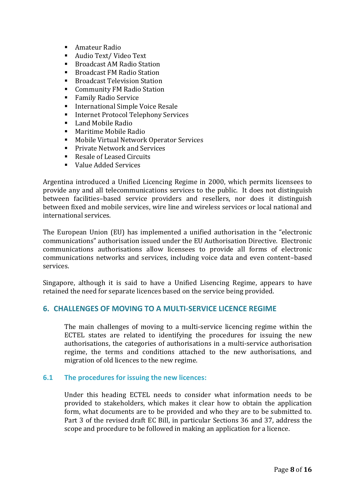- Amateur Radio
- Audio Text/ Video Text
- Broadcast AM Radio Station
- Broadcast FM Radio Station
- Broadcast Television Station
- Community FM Radio Station
- **Family Radio Service**
- International Simple Voice Resale
- Internet Protocol Telephony Services
- Land Mobile Radio
- Maritime Mobile Radio
- Mobile Virtual Network Operator Services
- Private Network and Services
- Resale of Leased Circuits
- Value Added Services

Argentina introduced a Unified Licencing Regime in 2000, which permits licensees to provide any and all telecommunications services to the public. It does not distinguish between facilities–based service providers and resellers, nor does it distinguish between fixed and mobile services, wire line and wireless services or local national and international services.

The European Union (EU) has implemented a unified authorisation in the "electronic communications" authorisation issued under the EU Authorisation Directive. Electronic communications authorisations allow licensees to provide all forms of electronic communications networks and services, including voice data and even content–based services.

Singapore, although it is said to have a Unified Lisencing Regime, appears to have retained the need for separate licences based on the service being provided.

## <span id="page-7-0"></span>**6. CHALLENGES OF MOVING TO A MULTI-SERVICE LICENCE REGIME**

The main challenges of moving to a multi-service licencing regime within the ECTEL states are related to identifying the procedures for issuing the new authorisations, the categories of authorisations in a multi-service authorisation regime, the terms and conditions attached to the new authorisations, and migration of old licences to the new regime.

#### <span id="page-7-1"></span>**6.1 The procedures for issuing the new licences:**

Under this heading ECTEL needs to consider what information needs to be provided to stakeholders, which makes it clear how to obtain the application form, what documents are to be provided and who they are to be submitted to. Part 3 of the revised draft EC Bill, in particular Sections 36 and 37, address the scope and procedure to be followed in making an application for a licence.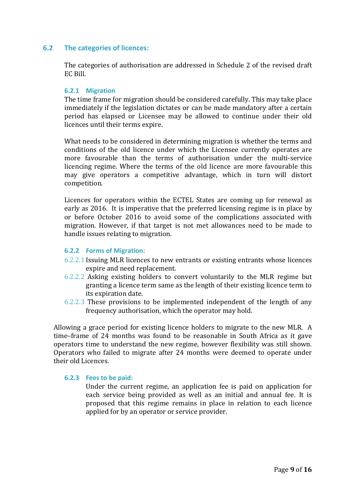## <span id="page-8-0"></span>**6.2 The categories of licences:**

The categories of authorisation are addressed in Schedule 2 of the revised draft EC Bill.

#### <span id="page-8-1"></span>**6.2.1 Migration**

The time frame for migration should be considered carefully. This may take place immediately if the legislation dictates or can be made mandatory after a certain period has elapsed or Licensee may be allowed to continue under their old licences until their terms expire.

What needs to be considered in determining migration is whether the terms and conditions of the old licence under which the Licensee currently operates are more favourable than the terms of authorisation under the multi-service licencing regime. Where the terms of the old licence are more favourable this may give operators a competitive advantage, which in turn will distort competition.

Licences for operators within the ECTEL States are coming up for renewal as early as 2016. It is imperative that the preferred licensing regime is in place by or before October 2016 to avoid some of the complications associated with migration. However, if that target is not met allowances need to be made to handle issues relating to migration.

#### <span id="page-8-2"></span>**6.2.2 Forms of Migration:**

- 6.2.2.1 Issuing MLR licences to new entrants or existing entrants whose licences expire and need replacement.
- 6.2.2.2 Asking existing holders to convert voluntarily to the MLR regime but granting a licence term same as the length of their existing licence term to its expiration date.
- 6.2.2.3 These provisions to be implemented independent of the length of any frequency authorisation, which the operator may hold.

Allowing a grace period for existing licence holders to migrate to the new MLR. A time–frame of 24 months was found to be reasonable in South Africa as it gave operators time to understand the new regime, however flexibility was still shown. Operators who failed to migrate after 24 months were deemed to operate under their old Licences.

#### <span id="page-8-3"></span>**6.2.3 Fees to be paid:**

Under the current regime, an application fee is paid on application for each service being provided as well as an initial and annual fee. It is proposed that this regime remains in place in relation to each licence applied for by an operator or service provider.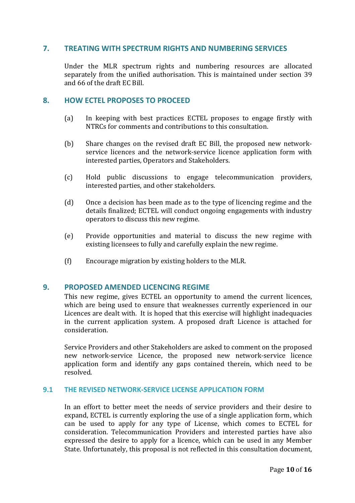## <span id="page-9-0"></span>**7. TREATING WITH SPECTRUM RIGHTS AND NUMBERING SERVICES**

Under the MLR spectrum rights and numbering resources are allocated separately from the unified authorisation. This is maintained under section 39 and 66 of the draft EC Bill.

## <span id="page-9-1"></span>**8. HOW ECTEL PROPOSES TO PROCEED**

- (a) In keeping with best practices ECTEL proposes to engage firstly with NTRCs for comments and contributions to this consultation.
- (b) Share changes on the revised draft EC Bill, the proposed new networkservice licences and the network-service licence application form with interested parties, Operators and Stakeholders.
- (c) Hold public discussions to engage telecommunication providers, interested parties, and other stakeholders.
- (d) Once a decision has been made as to the type of licencing regime and the details finalized; ECTEL will conduct ongoing engagements with industry operators to discuss this new regime.
- (e) Provide opportunities and material to discuss the new regime with existing licensees to fully and carefully explain the new regime.
- (f) Encourage migration by existing holders to the MLR.

## <span id="page-9-2"></span>**9. PROPOSED AMENDED LICENCING REGIME**

This new regime, gives ECTEL an opportunity to amend the current licences, which are being used to ensure that weaknesses currently experienced in our Licences are dealt with. It is hoped that this exercise will highlight inadequacies in the current application system. A proposed draft Licence is attached for consideration.

Service Providers and other Stakeholders are asked to comment on the proposed new network-service Licence, the proposed new network-service licence application form and identify any gaps contained therein, which need to be resolved.

### <span id="page-9-3"></span>**9.1 THE REVISED NETWORK-SERVICE LICENSE APPLICATION FORM**

In an effort to better meet the needs of service providers and their desire to expand, ECTEL is currently exploring the use of a single application form, which can be used to apply for any type of License, which comes to ECTEL for consideration. Telecommunication Providers and interested parties have also expressed the desire to apply for a licence, which can be used in any Member State. Unfortunately, this proposal is not reflected in this consultation document,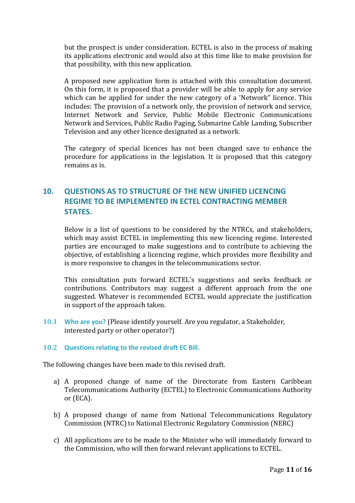but the prospect is under consideration. ECTEL is also in the process of making its applications electronic and would also at this time like to make provision for that possibility, with this new application.

A proposed new application form is attached with this consultation document. On this form, it is proposed that a provider will be able to apply for any service which can be applied for under the new category of a 'Network" licence. This includes: The provision of a network only, the provision of network and service, Internet Network and Service, Public Mobile Electronic Communications Network and Services, Public Radio Paging, Submarine Cable Landing, Subscriber Television and any other licence designated as a network.

The category of special licences has not been changed save to enhance the procedure for applications in the legislation. It is proposed that this category remains as is.

# <span id="page-10-0"></span>**10. QUESTIONS AS TO STRUCTURE OF THE NEW UNIFIED LICENCING REGIME TO BE IMPLEMENTED IN ECTEL CONTRACTING MEMBER STATES.**

Below is a list of questions to be considered by the NTRCs, and stakeholders, which may assist ECTEL in implementing this new licencing regime. Interested parties are encouraged to make suggestions and to contribute to achieving the objective, of establishing a licencing regime, which provides more flexibility and is more responsive to changes in the telecommunications sector.

This consultation puts forward ECTEL's suggestions and seeks feedback or contributions. Contributors may suggest a different approach from the one suggested. Whatever is recommended ECTEL would appreciate the justification in support of the approach taken.

<span id="page-10-1"></span>**10.1 Who are you?** (Please identify yourself. Are you regulator, a Stakeholder, interested party or other operator?)

## <span id="page-10-2"></span>**10.2 Questions relating to the revised draft EC Bill.**

The following changes have been made to this revised draft.

- a) A proposed change of name of the Directorate from Eastern Caribbean Telecommunications Authority (ECTEL) to Electronic Communications Authority or (ECA).
- b) A proposed change of name from National Telecommunications Regulatory Commission (NTRC) to National Electronic Regulatory Commission (NERC)
- c) All applications are to be made to the Minister who will immediately forward to the Commission, who will then forward relevant applications to ECTEL.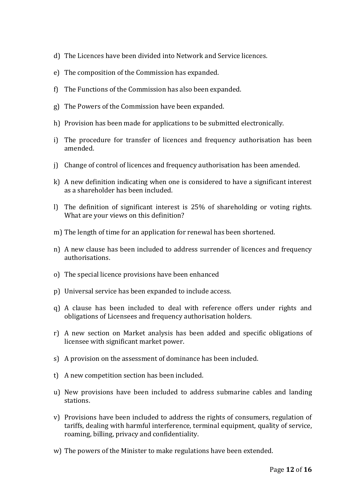- d) The Licences have been divided into Network and Service licences.
- e) The composition of the Commission has expanded.
- f) The Functions of the Commission has also been expanded.
- g) The Powers of the Commission have been expanded.
- h) Provision has been made for applications to be submitted electronically.
- i) The procedure for transfer of licences and frequency authorisation has been amended.
- j) Change of control of licences and frequency authorisation has been amended.
- k) A new definition indicating when one is considered to have a significant interest as a shareholder has been included.
- l) The definition of significant interest is 25% of shareholding or voting rights. What are your views on this definition?
- m) The length of time for an application for renewal has been shortened.
- n) A new clause has been included to address surrender of licences and frequency authorisations.
- o) The special licence provisions have been enhanced
- p) Universal service has been expanded to include access.
- q) A clause has been included to deal with reference offers under rights and obligations of Licensees and frequency authorisation holders.
- r) A new section on Market analysis has been added and specific obligations of licensee with significant market power.
- s) A provision on the assessment of dominance has been included.
- t) A new competition section has been included.
- u) New provisions have been included to address submarine cables and landing stations.
- v) Provisions have been included to address the rights of consumers, regulation of tariffs, dealing with harmful interference, terminal equipment, quality of service, roaming, billing, privacy and confidentiality.
- w) The powers of the Minister to make regulations have been extended.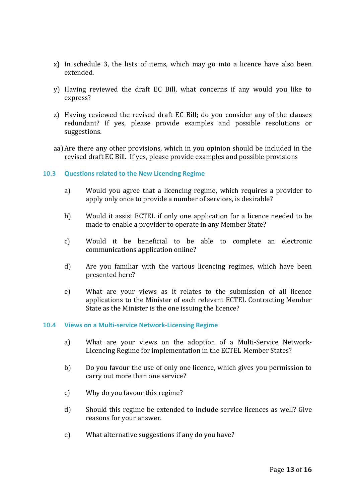- x) In schedule 3, the lists of items, which may go into a licence have also been extended.
- y) Having reviewed the draft EC Bill, what concerns if any would you like to express?
- z) Having reviewed the revised draft EC Bill; do you consider any of the clauses redundant? If yes, please provide examples and possible resolutions or suggestions.
- aa)Are there any other provisions, which in you opinion should be included in the revised draft EC Bill. If yes, please provide examples and possible provisions

#### <span id="page-12-0"></span>**10.3 Questions related to the New Licencing Regime**

- a) Would you agree that a licencing regime, which requires a provider to apply only once to provide a number of services, is desirable?
- b) Would it assist ECTEL if only one application for a licence needed to be made to enable a provider to operate in any Member State?
- c) Would it be beneficial to be able to complete an electronic communications application online?
- d) Are you familiar with the various licencing regimes, which have been presented here?
- e) What are your views as it relates to the submission of all licence applications to the Minister of each relevant ECTEL Contracting Member State as the Minister is the one issuing the licence?

#### <span id="page-12-1"></span>**10.4 Views on a Multi-service Network-Licensing Regime**

- a) What are your views on the adoption of a Multi-Service Network-Licencing Regime for implementation in the ECTEL Member States?
- b) Do you favour the use of only one licence, which gives you permission to carry out more than one service?
- c) Why do you favour this regime?
- d) Should this regime be extended to include service licences as well? Give reasons for your answer.
- e) What alternative suggestions if any do you have?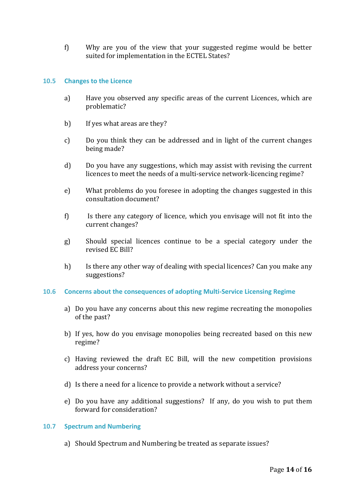f) Why are you of the view that your suggested regime would be better suited for implementation in the ECTEL States?

#### <span id="page-13-0"></span>**10.5 Changes to the Licence**

- a) Have you observed any specific areas of the current Licences, which are problematic?
- b) If yes what areas are they?
- c) Do you think they can be addressed and in light of the current changes being made?
- d) Do you have any suggestions, which may assist with revising the current licences to meet the needs of a multi-service network-licencing regime?
- e) What problems do you foresee in adopting the changes suggested in this consultation document?
- f) Is there any category of licence, which you envisage will not fit into the current changes?
- g) Should special licences continue to be a special category under the revised EC Bill?
- h) Is there any other way of dealing with special licences? Can you make any suggestions?

#### <span id="page-13-1"></span>**10.6 Concerns about the consequences of adopting Multi-Service Licensing Regime**

- a) Do you have any concerns about this new regime recreating the monopolies of the past?
- b) If yes, how do you envisage monopolies being recreated based on this new regime?
- c) Having reviewed the draft EC Bill, will the new competition provisions address your concerns?
- d) Is there a need for a licence to provide a network without a service?
- e) Do you have any additional suggestions? If any, do you wish to put them forward for consideration?

#### <span id="page-13-2"></span>**10.7 Spectrum and Numbering**

a) Should Spectrum and Numbering be treated as separate issues?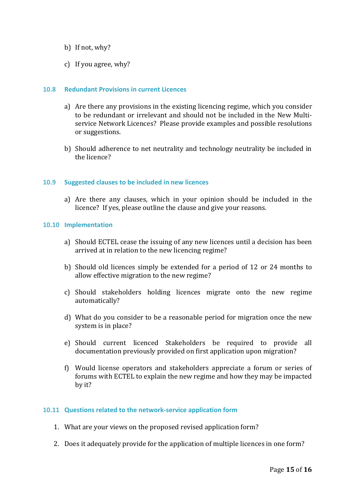- b) If not, why?
- c) If you agree, why?

#### <span id="page-14-0"></span>**10.8 Redundant Provisions in current Licences**

- a) Are there any provisions in the existing licencing regime, which you consider to be redundant or irrelevant and should not be included in the New Multiservice Network Licences? Please provide examples and possible resolutions or suggestions.
- b) Should adherence to net neutrality and technology neutrality be included in the licence?

#### <span id="page-14-1"></span>**10.9 Suggested clauses to be included in new licences**

a) Are there any clauses, which in your opinion should be included in the licence? If yes, please outline the clause and give your reasons.

#### <span id="page-14-2"></span>**10.10 Implementation**

- a) Should ECTEL cease the issuing of any new licences until a decision has been arrived at in relation to the new licencing regime?
- b) Should old licences simply be extended for a period of 12 or 24 months to allow effective migration to the new regime?
- c) Should stakeholders holding licences migrate onto the new regime automatically?
- d) What do you consider to be a reasonable period for migration once the new system is in place?
- e) Should current licenced Stakeholders be required to provide all documentation previously provided on first application upon migration?
- f) Would license operators and stakeholders appreciate a forum or series of forums with ECTEL to explain the new regime and how they may be impacted by it?

#### <span id="page-14-3"></span>**10.11 Questions related to the network-service application form**

- 1. What are your views on the proposed revised application form?
- 2. Does it adequately provide for the application of multiple licences in one form?